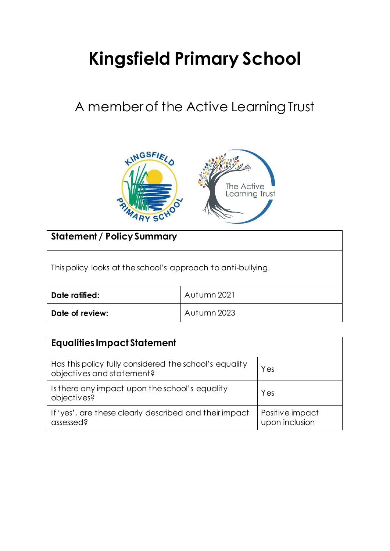# **Kingsfield Primary School**

# A member of the Active Learning Trust



| <b>Statement / Policy Summary</b>                            |             |
|--------------------------------------------------------------|-------------|
| This policy looks at the school's approach to anti-bullying. |             |
| Date ratified:                                               | Autumn 2021 |
| Date of review:                                              | Autumn 2023 |

| <b>Equalities Impact Statement</b>                                                  |                                   |  |
|-------------------------------------------------------------------------------------|-----------------------------------|--|
| Has this policy fully considered the school's equality<br>objectives and statement? | Yes                               |  |
| Is there any impact upon the school's equality<br>objectives?                       | Yes                               |  |
| If 'yes', are these clearly described and their impact<br>assessed?                 | Positive impact<br>upon inclusion |  |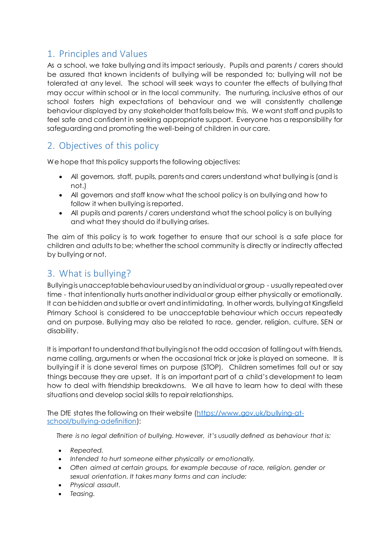# 1. Principles and Values

As a school, we take bullying and its impact seriously. Pupils and parents / carers should be assured that known incidents of bullying will be responded to; bullying will not be tolerated at any level. The school will seek ways to counter the effects of bullying that may occur within school or in the local community. The nurturing, inclusive ethos of our school fosters high expectations of behaviour and we will consistently challenge behaviour displayed by any stakeholder that falls below this. We want staff and pupils to feel safe and confident in seeking appropriate support. Everyone has a responsibility for safeguarding and promoting the well-being of children in our care.

## 2. Objectives of this policy

We hope that this policy supports the following objectives:

- All governors, staff, pupils, parents and carers understand what bullying is (and is not.)
- All governors and staff know what the school policy is on bullying and how to follow it when bullying is reported.
- All pupils and parents / carers understand what the school policy is on bullying and what they should do if bullying arises.

The aim of this policy is to work together to ensure that our school is a safe place for children and adults to be; whether the school community is directly or indirectly affected by bullying or not.

# 3. What is bullying?

Bullying is unacceptable behaviour used by an individual or group - usually repeated over time - that intentionally hurts another individual or group either physically or emotionally. It can be hidden and subtle or overt and intimidating. In other words, bullying at Kingsfield Primary School is considered to be unacceptable behaviour which occurs repeatedly and on purpose. Bullying may also be related to race, gender, religion, culture, SEN or disability.

It is important to understand that bullying is not the odd occasion of falling out with friends, name calling, arguments or when the occasional trick or joke is played on someone. It is bullying if it is done several times on purpose (STOP). Children sometimes fall out or say things because they are upset. It is an important part of a child's development to learn how to deal with friendship breakdowns. We all have to learn how to deal with these situations and develop social skills to repair relationships.

The DfE states the following on their website [\(https://www.gov.uk/bullying-at](https://www.gov.uk/bullying-at-school/bullying-adefinition)[school/bullying-adefinition](https://www.gov.uk/bullying-at-school/bullying-adefinition)):

*There is no legal definition of bullying. However, it's usually defined as behaviour that is:* 

- *Repeated.*
- *Intended to hurt someone either physically or emotionally.*
- Often aimed at certain groups, for example because of race, religion, gender or *sexual orientation. It takes many forms and can include:*
- *Physical assault.*
- *Teasing.*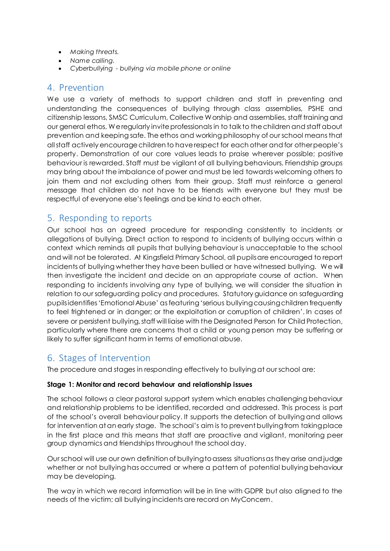- *Making threats.*
- *Name calling.*
- *Cyberbullying - bullying via mobile phone or online*

#### 4. Prevention

We use a variety of methods to support children and staff in preventing and understanding the consequences of bullying through class assemblies, PSHE and citizenship lessons, SMSC Curriculum, Collective Worship and assemblies, staff training and our general ethos. We regularly invite professionals in to talk to the children and staff about prevention and keeping safe. The ethos and working philosophy of our school means that all staff actively encourage children to have respect for each other and for other people's property. Demonstration of our core values leads to praise wherever possible; positive behaviour is rewarded. Staff must be vigilant of all bullying behaviours. Friendship groups may bring about the imbalance of power and must be led towards welcoming others to join them and not excluding others from their group. Staff must reinforce a general message that children do not have to be friends with everyone but they must be respectful of everyone else's feelings and be kind to each other.

## 5. Responding to reports

Our school has an agreed procedure for responding consistently to incidents or allegations of bullying. Direct action to respond to incidents of bullying occurs within a context which reminds all pupils that bullying behaviour is unacceptable to the school and will not be tolerated. At Kingsfield Primary School, all pupils are encouraged to report incidents of bullying whether they have been bullied or have witnessed bullying. We will then investigate the incident and decide on an appropriate course of action. When responding to incidents involving any type of bullying, we will consider the situation in relation to our safeguarding policy and procedures. Statutory guidance on safeguarding pupils identifies 'Emotional Abuse' as featuring 'serious bullying causing children frequently to feel frightened or in danger; or the exploitation or corruption of children'. In cases of severe or persistent bullying, staff will liaise with the Designated Person for Child Protection, particularly where there are concerns that a child or young person may be suffering or likely to suffer significant harm in terms of emotional abuse.

#### 6. Stages of Intervention

The procedure and stages in responding effectively to bullying at our school are:

#### **Stage 1: Monitor and record behaviour and relationship issues**

The school follows a clear pastoral support system which enables challenging behaviour and relationship problems to be identified, recorded and addressed. This process is part of the school's overall behaviour policy. It supports the detection of bullying and allows for intervention at an early stage. The school's aim is to prevent bullying from taking place in the first place and this means that staff are proactive and vigilant, monitoring peer group dynamics and friendships throughout the school day.

Our school will use our own definition of bullying to assess situations as they arise and judge whether or not bullying has occurred or where a pattern of potential bullying behaviour may be developing.

The way in which we record information will be in line with GDPR but also aligned to the needs of the victim; all bullying incidents are record on MyConcern.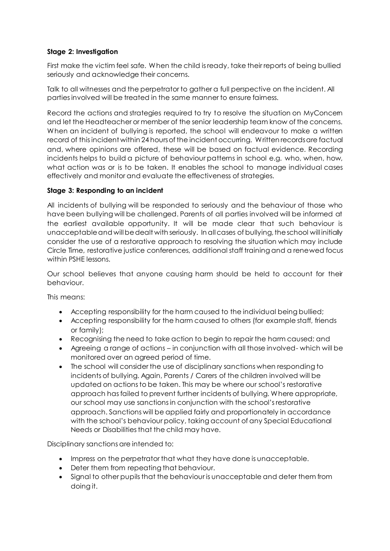#### **Stage 2: Investigation**

First make the victim feel safe. When the child is ready, take their reports of being bullied seriously and acknowledge their concerns.

Talk to all witnesses and the perpetrator to gather a full perspective on the incident. All parties involved will be treated in the same manner to ensure fairness.

Record the actions and strategies required to try to resolve the situation on MyConcern and let the Headteacher or member of the senior leadership team know of the concerns. When an incident of bullying is reported, the school will endeavour to make a written record of this incident within 24 hours of the incident occurring. Written records are factual and, where opinions are offered, these will be based on factual evidence. Recording incidents helps to build a picture of behaviour patterns in school e.g. who, when, how, what action was or is to be taken. It enables the school to manage individual cases effectively and monitor and evaluate the effectiveness of strategies.

#### **Stage 3: Responding to an incident**

All incidents of bullying will be responded to seriously and the behaviour of those who have been bullying will be challenged. Parents of all parties involved will be informed at the earliest available opportunity. It will be made clear that such behaviour is unacceptable and will be dealt with seriously. In all cases of bullying, the school will initially consider the use of a restorative approach to resolving the situation which may include Circle Time, restorative justice conferences, additional staff training and a renewed focus within PSHE lessons.

Our school believes that anyone causing harm should be held to account for their behaviour.

This means:

- Accepting responsibility for the harm caused to the individual being bullied;
- Accepting responsibility for the harm caused to others (for example staff, friends or family);
- Recognising the need to take action to begin to repair the harm caused; and
- Agreeing a range of actions in conjunction with all those involved- which will be monitored over an agreed period of time.
- The school will consider the use of disciplinary sanctions when responding to incidents of bullying. Again, Parents / Carers of the children involved will be updated on actions to be taken. This may be where our school's restorative approach has failed to prevent further incidents of bullying. Where appropriate, our school may use sanctions in conjunction with the school's restorative approach. Sanctions will be applied fairly and proportionately in accordance with the school's behaviour policy, taking account of any Special Educational Needs or Disabilities that the child may have.

Disciplinary sanctions are intended to:

- Impress on the perpetrator that what they have done is unacceptable.
- Deter them from repeating that behaviour.
- Signal to other pupils that the behaviour is unacceptable and deter them from doing it.